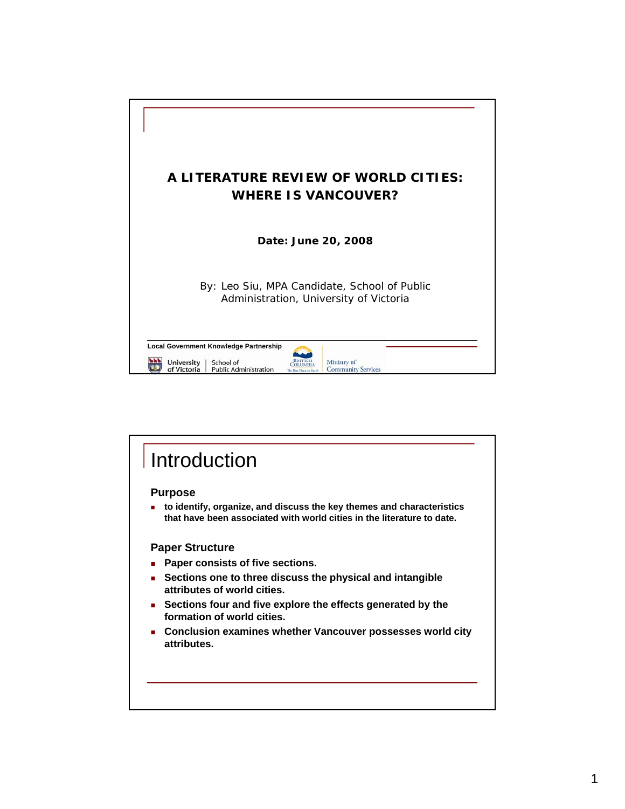

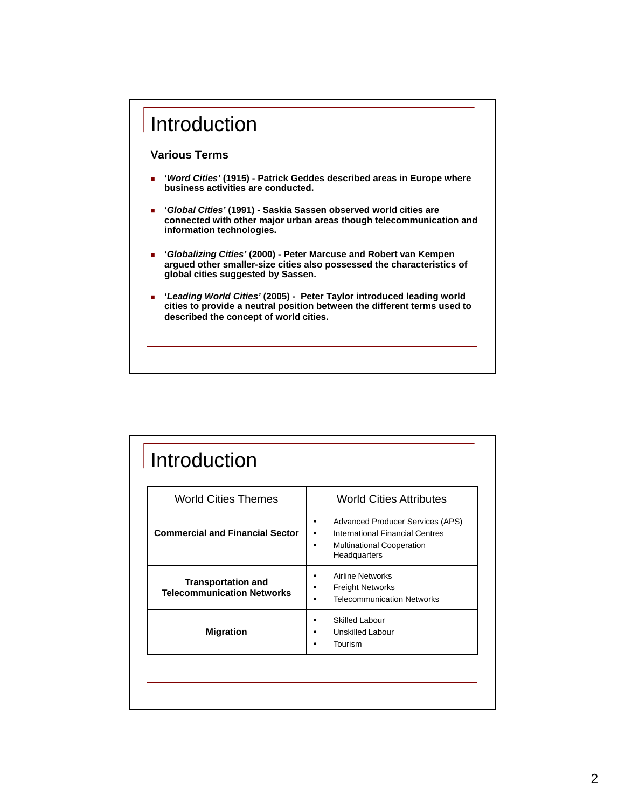

| <b>World Cities Themes</b>                                     | <b>World Cities Attributes</b>                                                                                                           |
|----------------------------------------------------------------|------------------------------------------------------------------------------------------------------------------------------------------|
| <b>Commercial and Financial Sector</b>                         | <b>Advanced Producer Services (APS)</b><br>International Financial Centres<br>٠<br><b>Multinational Cooperation</b><br>٠<br>Headquarters |
| <b>Transportation and</b><br><b>Telecommunication Networks</b> | <b>Airline Networks</b><br>٠<br><b>Freight Networks</b><br><b>Telecommunication Networks</b>                                             |
| <b>Migration</b>                                               | <b>Skilled Labour</b><br>Unskilled Labour<br>Tourism                                                                                     |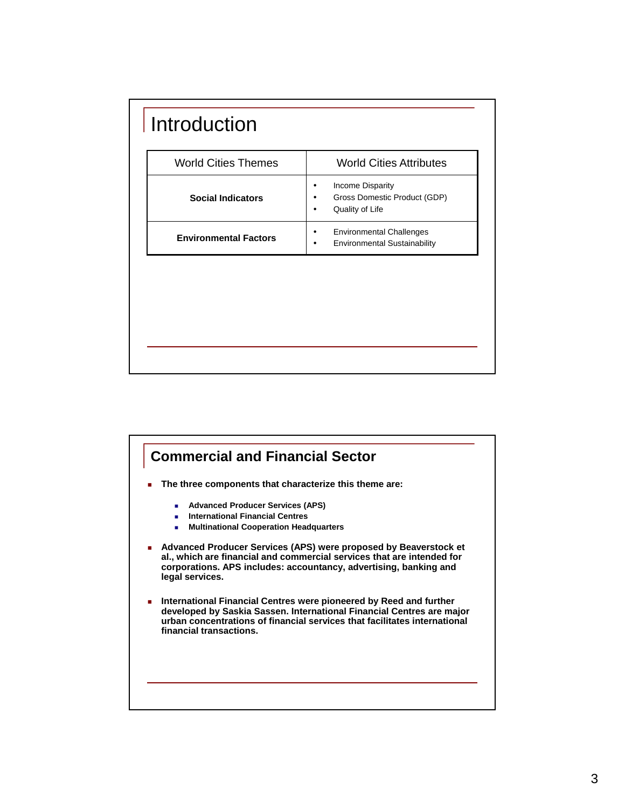| <b>World Cities Themes</b>   | <b>World Cities Attributes</b>                                         |
|------------------------------|------------------------------------------------------------------------|
| <b>Social Indicators</b>     | Income Disparity<br>Gross Domestic Product (GDP)<br>Quality of Life    |
| <b>Environmental Factors</b> | <b>Environmental Challenges</b><br><b>Environmental Sustainability</b> |

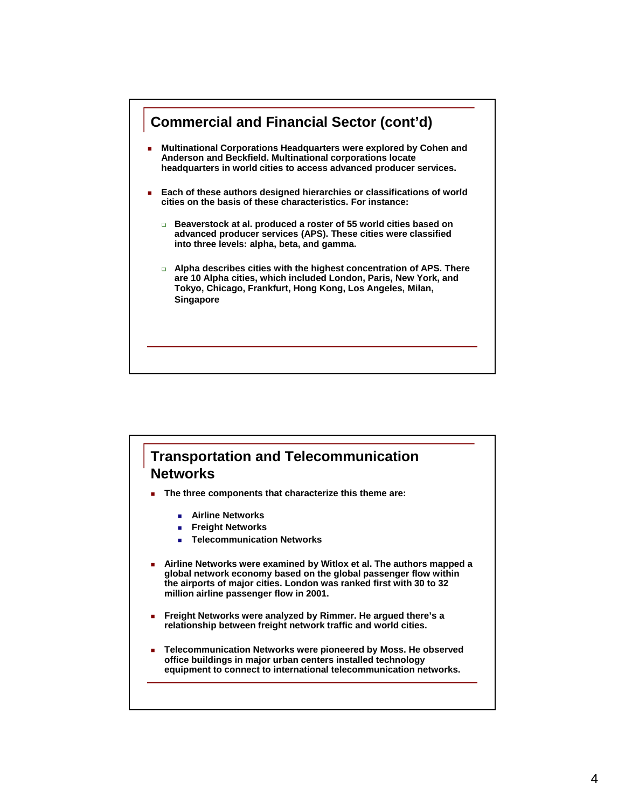

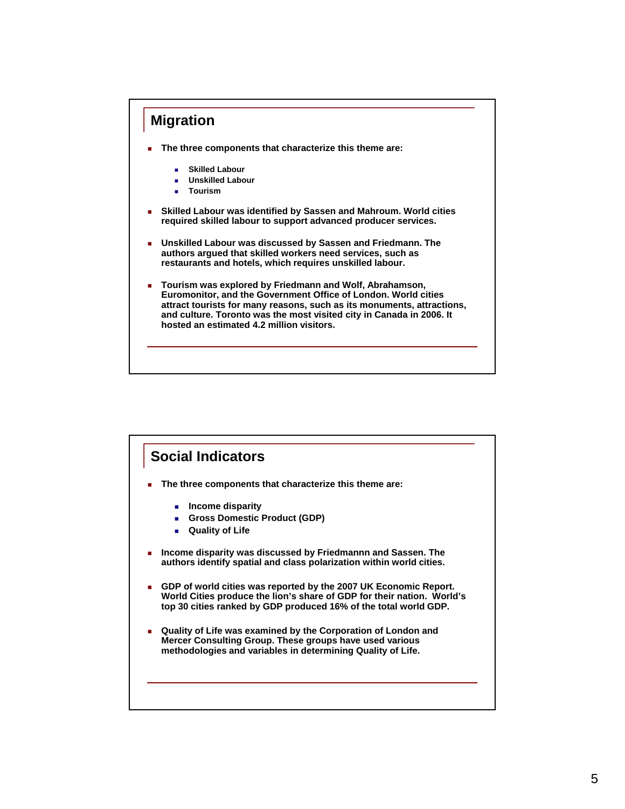

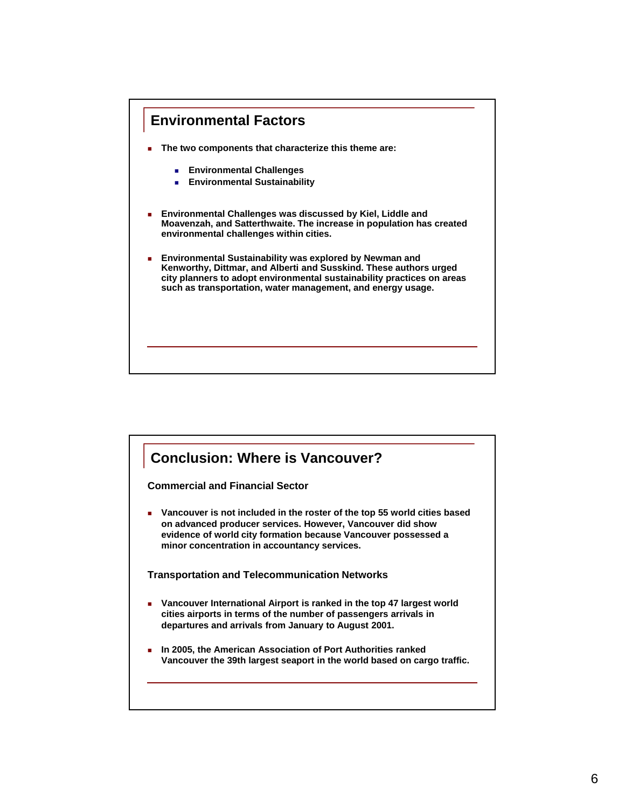